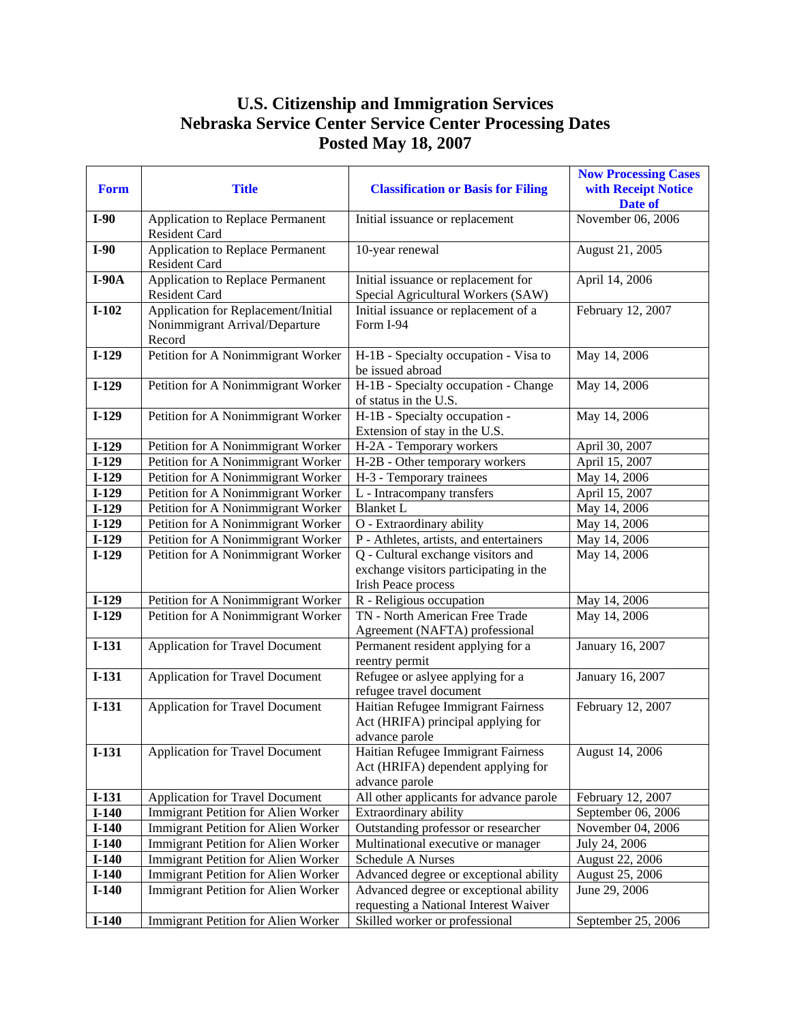## **U.S. Citizenship and Immigration Services Nebraska Service Center Service Center Processing Dates Posted May 18, 2007**

| <b>Form</b> | <b>Title</b>                                                                    | <b>Classification or Basis for Filing</b>                                                                  | <b>Now Processing Cases</b><br>with Receipt Notice<br>Date of |
|-------------|---------------------------------------------------------------------------------|------------------------------------------------------------------------------------------------------------|---------------------------------------------------------------|
| $I-90$      | Application to Replace Permanent<br><b>Resident Card</b>                        | Initial issuance or replacement                                                                            | November 06, 2006                                             |
| $I-90$      | Application to Replace Permanent<br>Resident Card                               | 10-year renewal                                                                                            | August 21, 2005                                               |
| $I-90A$     | Application to Replace Permanent<br>Resident Card                               | Initial issuance or replacement for<br>Special Agricultural Workers (SAW)                                  | April 14, 2006                                                |
| $I-102$     | Application for Replacement/Initial<br>Nonimmigrant Arrival/Departure<br>Record | Initial issuance or replacement of a<br>Form I-94                                                          | February 12, 2007                                             |
| $I-129$     | Petition for A Nonimmigrant Worker                                              | H-1B - Specialty occupation - Visa to<br>be issued abroad                                                  | May 14, 2006                                                  |
| $I-129$     | Petition for A Nonimmigrant Worker                                              | H-1B - Specialty occupation - Change<br>of status in the U.S.                                              | May 14, 2006                                                  |
| $I-129$     | Petition for A Nonimmigrant Worker                                              | H-1B - Specialty occupation -<br>Extension of stay in the U.S.                                             | May 14, 2006                                                  |
| $I-129$     | Petition for A Nonimmigrant Worker                                              | H-2A - Temporary workers                                                                                   | April 30, 2007                                                |
| $I-129$     | Petition for A Nonimmigrant Worker                                              | H-2B - Other temporary workers                                                                             | April 15, 2007                                                |
| $I-129$     | Petition for A Nonimmigrant Worker                                              | H-3 - Temporary trainees                                                                                   | May 14, 2006                                                  |
| $I-129$     | Petition for A Nonimmigrant Worker                                              | L - Intracompany transfers                                                                                 | April 15, 2007                                                |
| $I-129$     | Petition for A Nonimmigrant Worker                                              | <b>Blanket L</b>                                                                                           | May 14, 2006                                                  |
| $I-129$     | Petition for A Nonimmigrant Worker                                              | O - Extraordinary ability                                                                                  | May 14, 2006                                                  |
| $I-129$     | Petition for A Nonimmigrant Worker                                              | P - Athletes, artists, and entertainers                                                                    | May 14, 2006                                                  |
| $I-129$     | Petition for A Nonimmigrant Worker                                              | Q - Cultural exchange visitors and<br>exchange visitors participating in the<br><b>Irish Peace process</b> | May 14, 2006                                                  |
| $I-129$     | Petition for A Nonimmigrant Worker                                              | R - Religious occupation                                                                                   | May 14, 2006                                                  |
| $I-129$     | Petition for A Nonimmigrant Worker                                              | TN - North American Free Trade<br>Agreement (NAFTA) professional                                           | May 14, 2006                                                  |
| $I-131$     | <b>Application for Travel Document</b>                                          | Permanent resident applying for a<br>reentry permit                                                        | January 16, 2007                                              |
| $I-131$     | <b>Application for Travel Document</b>                                          | Refugee or aslyee applying for a<br>refugee travel document                                                | January 16, 2007                                              |
| $I-131$     | <b>Application for Travel Document</b>                                          | Haitian Refugee Immigrant Fairness<br>Act (HRIFA) principal applying for<br>advance parole                 | February 12, 2007                                             |
| $I-131$     | Application for Travel Document                                                 | Haitian Refugee Immigrant Fairness<br>Act (HRIFA) dependent applying for<br>advance parole                 | August 14, 2006                                               |
| $I-131$     | <b>Application for Travel Document</b>                                          | All other applicants for advance parole                                                                    | February 12, 2007                                             |
| $I-140$     | <b>Immigrant Petition for Alien Worker</b>                                      | Extraordinary ability                                                                                      | September 06, 2006                                            |
| $I-140$     | Immigrant Petition for Alien Worker                                             | Outstanding professor or researcher                                                                        | November 04, 2006                                             |
| $I-140$     | Immigrant Petition for Alien Worker                                             | Multinational executive or manager                                                                         | July 24, 2006                                                 |
| $I-140$     | Immigrant Petition for Alien Worker                                             | Schedule A Nurses                                                                                          | August 22, 2006                                               |
| $I-140$     | Immigrant Petition for Alien Worker                                             | Advanced degree or exceptional ability                                                                     | August 25, 2006                                               |
| $I-140$     | Immigrant Petition for Alien Worker                                             | Advanced degree or exceptional ability<br>requesting a National Interest Waiver                            | June 29, 2006                                                 |
| $I-140$     | Immigrant Petition for Alien Worker                                             | Skilled worker or professional                                                                             | September 25, 2006                                            |